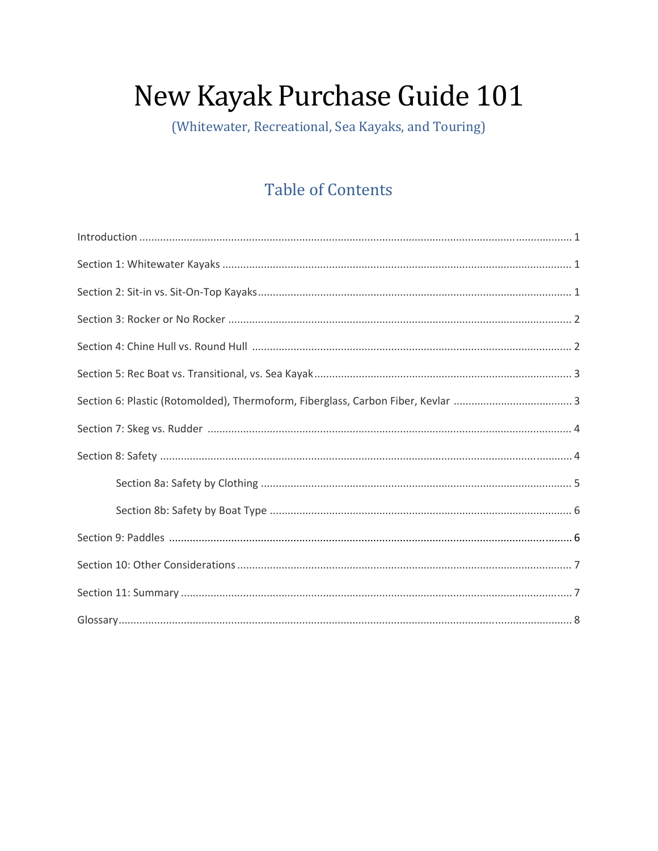# New Kayak Purchase Guide 101

(Whitewater, Recreational, Sea Kayaks, and Touring)

# **Table of Contents**

| $\label{eq:1} \mbox{Introduction} \,\, \ldots \,\, \ldots \,\, \ldots \,\, \ldots \,\, \ldots \,\, \ldots \,\, \ldots \,\, \ldots \,\, \ldots \,\, \ldots \,\, \ldots \,\, \ldots \,\, \ldots \,\, \ldots \,\, \ldots \,\, \ldots \,\, \ldots \,\, \ldots \,\, \ldots \,\, \ldots \,\, \ldots \,\, \ldots \,\, \ldots \,\, \ldots \,\, \ldots \,\, \ldots \,\, \ldots \,\, \ldots \,\, \ldots \,\, \ldots \,\, \ldots \,\, \ldots \,\, \ldots \,\, \ldots \,\,$ |
|-----------------------------------------------------------------------------------------------------------------------------------------------------------------------------------------------------------------------------------------------------------------------------------------------------------------------------------------------------------------------------------------------------------------------------------------------------------------|
|                                                                                                                                                                                                                                                                                                                                                                                                                                                                 |
|                                                                                                                                                                                                                                                                                                                                                                                                                                                                 |
|                                                                                                                                                                                                                                                                                                                                                                                                                                                                 |
|                                                                                                                                                                                                                                                                                                                                                                                                                                                                 |
|                                                                                                                                                                                                                                                                                                                                                                                                                                                                 |
|                                                                                                                                                                                                                                                                                                                                                                                                                                                                 |
|                                                                                                                                                                                                                                                                                                                                                                                                                                                                 |
|                                                                                                                                                                                                                                                                                                                                                                                                                                                                 |
|                                                                                                                                                                                                                                                                                                                                                                                                                                                                 |
|                                                                                                                                                                                                                                                                                                                                                                                                                                                                 |
|                                                                                                                                                                                                                                                                                                                                                                                                                                                                 |
|                                                                                                                                                                                                                                                                                                                                                                                                                                                                 |
|                                                                                                                                                                                                                                                                                                                                                                                                                                                                 |
|                                                                                                                                                                                                                                                                                                                                                                                                                                                                 |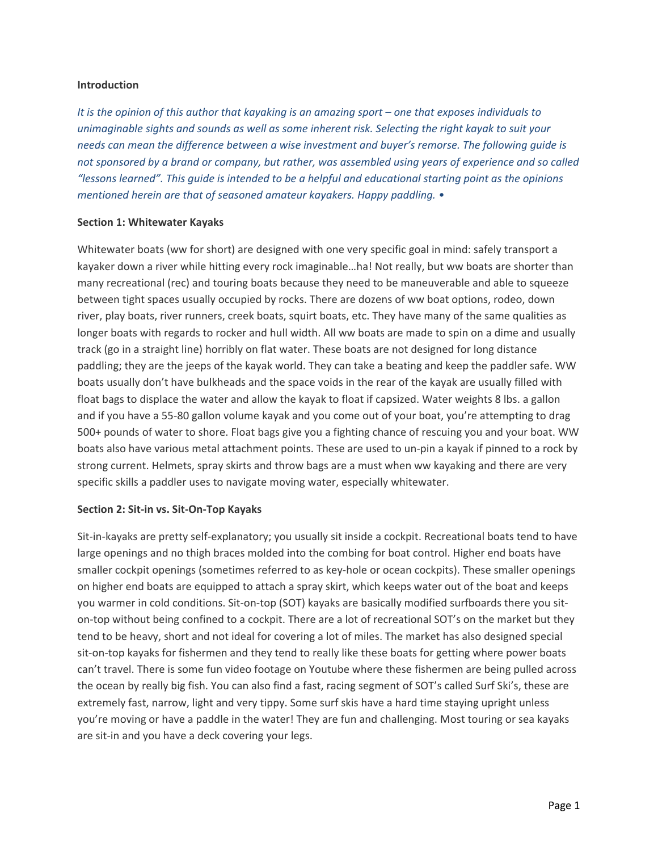#### **Introduction**

It is the opinion of this author that kayaking is an amazing sport - one that exposes individuals to *unimaginable sights and sounds as well as some inherent risk. Selecting the right kayak to suit your needs can mean the difference between a wise investment and buyer's remorse. The following guide is* not sponsored by a brand or company, but rather, was assembled using years of experience and so called *"lessons learned". This guide is intended to be a helpful and educational starting point as the opinions mentioned herein are that of seasoned amateur kayakers. Happy paddling. •*

#### **Section 1: Whitewater Kayaks**

Whitewater boats (ww for short) are designed with one very specific goal in mind: safely transport a kayaker down a river while hitting every rock imaginable…ha! Not really, but ww boats are shorter than many recreational (rec) and touring boats because they need to be maneuverable and able to squeeze between tight spaces usually occupied by rocks. There are dozens of ww boat options, rodeo, down river, play boats, river runners, creek boats, squirt boats, etc. They have many of the same qualities as longer boats with regards to rocker and hull width. All ww boats are made to spin on a dime and usually track (go in a straight line) horribly on flat water. These boats are not designed for long distance paddling; they are the jeeps of the kayak world. They can take a beating and keep the paddler safe. WW boats usually don't have bulkheads and the space voids in the rear of the kayak are usually filled with float bags to displace the water and allow the kayak to float if capsized. Water weights 8 lbs. a gallon and if you have a 55‐80 gallon volume kayak and you come out of your boat, you're attempting to drag 500+ pounds of water to shore. Float bags give you a fighting chance of rescuing you and your boat. WW boats also have various metal attachment points. These are used to un‐pin a kayak if pinned to a rock by strong current. Helmets, spray skirts and throw bags are a must when ww kayaking and there are very specific skills a paddler uses to navigate moving water, especially whitewater.

# **Section 2: Sit‐in vs. Sit‐On‐Top Kayaks**

Sit-in-kayaks are pretty self-explanatory; you usually sit inside a cockpit. Recreational boats tend to have large openings and no thigh braces molded into the combing for boat control. Higher end boats have smaller cockpit openings (sometimes referred to as key-hole or ocean cockpits). These smaller openings on higher end boats are equipped to attach a spray skirt, which keeps water out of the boat and keeps you warmer in cold conditions. Sit-on-top (SOT) kayaks are basically modified surfboards there you siton-top without being confined to a cockpit. There are a lot of recreational SOT's on the market but they tend to be heavy, short and not ideal for covering a lot of miles. The market has also designed special sit-on-top kayaks for fishermen and they tend to really like these boats for getting where power boats can't travel. There is some fun video footage on Youtube where these fishermen are being pulled across the ocean by really big fish. You can also find a fast, racing segment of SOT's called Surf Ski's, these are extremely fast, narrow, light and very tippy. Some surf skis have a hard time staying upright unless you're moving or have a paddle in the water! They are fun and challenging. Most touring or sea kayaks are sit-in and you have a deck covering your legs.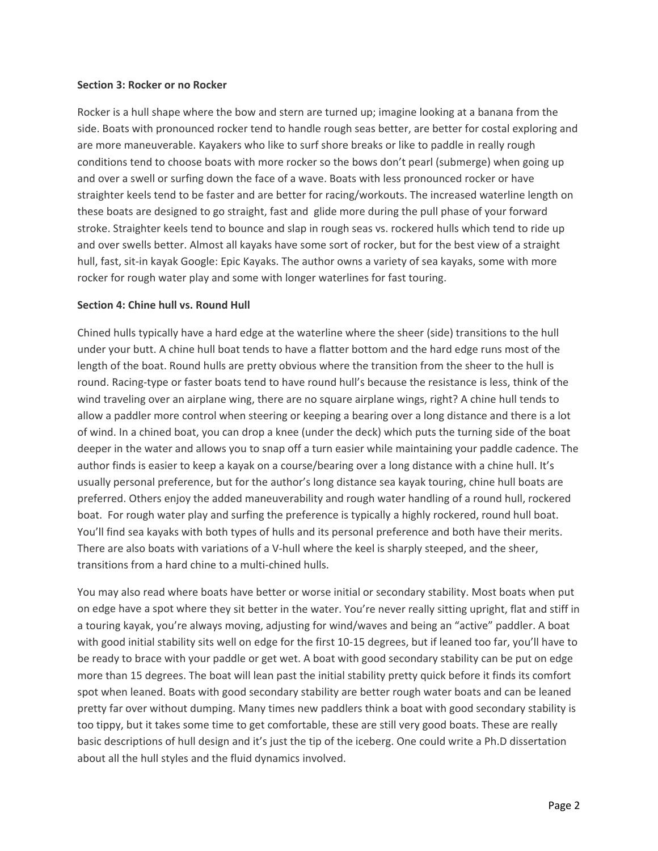#### **Section 3: Rocker or no Rocker**

Rocker is a hull shape where the bow and stern are turned up; imagine looking at a banana from the side. Boats with pronounced rocker tend to handle rough seas better, are better for costal exploring and are more maneuverable. Kayakers who like to surf shore breaks or like to paddle in really rough conditions tend to choose boats with more rocker so the bows don't pearl (submerge) when going up and over a swell or surfing down the face of a wave. Boats with less pronounced rocker or have straighter keels tend to be faster and are better for racing/workouts. The increased waterline length on these boats are designed to go straight, fast and glide more during the pull phase of your forward stroke. Straighter keels tend to bounce and slap in rough seas vs. rockered hulls which tend to ride up and over swells better. Almost all kayaks have some sort of rocker, but for the best view of a straight hull, fast, sit-in kayak Google: Epic Kayaks. The author owns a variety of sea kayaks, some with more rocker for rough water play and some with longer waterlines for fast touring.

#### **Section 4: Chine hull vs. Round Hull**

Chined hulls typically have a hard edge at the waterline where the sheer (side) transitions to the hull under your butt. A chine hull boat tends to have a flatter bottom and the hard edge runs most of the length of the boat. Round hulls are pretty obvious where the transition from the sheer to the hull is round. Racing‐type or faster boats tend to have round hull's because the resistance is less, think of the wind traveling over an airplane wing, there are no square airplane wings, right? A chine hull tends to allow a paddler more control when steering or keeping a bearing over a long distance and there is a lot of wind. In a chined boat, you can drop a knee (under the deck) which puts the turning side of the boat deeper in the water and allows you to snap off a turn easier while maintaining your paddle cadence. The author finds is easier to keep a kayak on a course/bearing over a long distance with a chine hull. It's usually personal preference, but for the author's long distance sea kayak touring, chine hull boats are preferred. Others enjoy the added maneuverability and rough water handling of a round hull, rockered boat. For rough water play and surfing the preference is typically a highly rockered, round hull boat. You'll find sea kayaks with both types of hulls and its personal preference and both have their merits. There are also boats with variations of a V-hull where the keel is sharply steeped, and the sheer, transitions from a hard chine to a multi‐chined hulls.

You may also read where boats have better or worse initial or secondary stability. Most boats when put on edge have a spot where they sit better in the water. You're never really sitting upright, flat and stiff in a touring kayak, you're always moving, adjusting for wind/waves and being an "active" paddler. A boat with good initial stability sits well on edge for the first 10-15 degrees, but if leaned too far, you'll have to be ready to brace with your paddle or get wet. A boat with good secondary stability can be put on edge more than 15 degrees. The boat will lean past the initial stability pretty quick before it finds its comfort spot when leaned. Boats with good secondary stability are better rough water boats and can be leaned pretty far over without dumping. Many times new paddlers think a boat with good secondary stability is too tippy, but it takes some time to get comfortable, these are still very good boats. These are really basic descriptions of hull design and it's just the tip of the iceberg. One could write a Ph.D dissertation about all the hull styles and the fluid dynamics involved.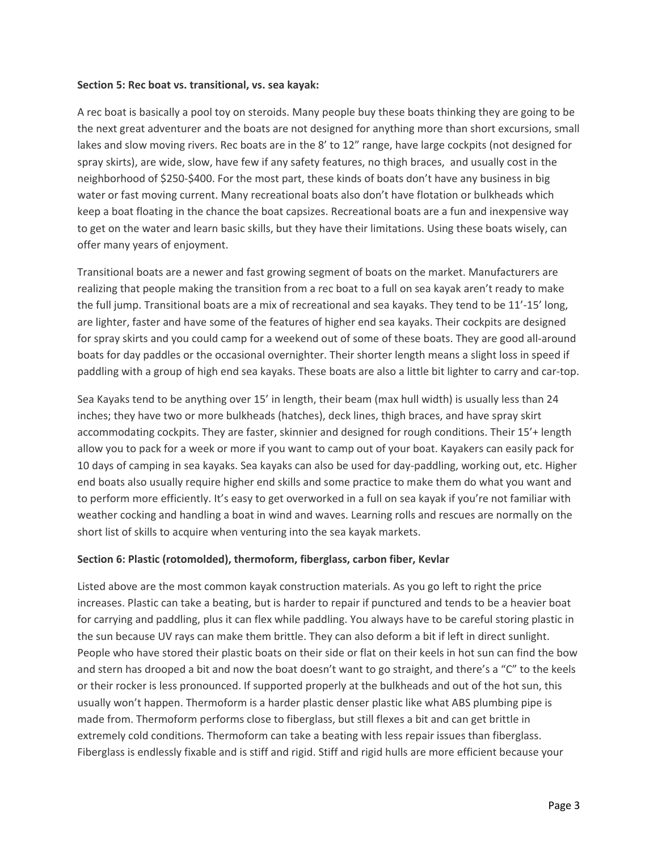#### **Section 5: Rec boat vs. transitional, vs. sea kayak:**

A rec boat is basically a pool toy on steroids. Many people buy these boats thinking they are going to be the next great adventurer and the boats are not designed for anything more than short excursions, small lakes and slow moving rivers. Rec boats are in the 8' to 12" range, have large cockpits (not designed for spray skirts), are wide, slow, have few if any safety features, no thigh braces, and usually cost in the neighborhood of \$250‐\$400. For the most part, these kinds of boats don't have any business in big water or fast moving current. Many recreational boats also don't have flotation or bulkheads which keep a boat floating in the chance the boat capsizes. Recreational boats are a fun and inexpensive way to get on the water and learn basic skills, but they have their limitations. Using these boats wisely, can offer many years of enjoyment.

Transitional boats are a newer and fast growing segment of boats on the market. Manufacturers are realizing that people making the transition from a rec boat to a full on sea kayak aren't ready to make the full jump. Transitional boats are a mix of recreational and sea kayaks. They tend to be 11'‐15' long, are lighter, faster and have some of the features of higher end sea kayaks. Their cockpits are designed for spray skirts and you could camp for a weekend out of some of these boats. They are good all‐around boats for day paddles or the occasional overnighter. Their shorter length means a slight loss in speed if paddling with a group of high end sea kayaks. These boats are also a little bit lighter to carry and car-top.

Sea Kayaks tend to be anything over 15' in length, their beam (max hull width) is usually less than 24 inches; they have two or more bulkheads (hatches), deck lines, thigh braces, and have spray skirt accommodating cockpits. They are faster, skinnier and designed for rough conditions. Their 15'+ length allow you to pack for a week or more if you want to camp out of your boat. Kayakers can easily pack for 10 days of camping in sea kayaks. Sea kayaks can also be used for day-paddling, working out, etc. Higher end boats also usually require higher end skills and some practice to make them do what you want and to perform more efficiently. It's easy to get overworked in a full on sea kayak if you're not familiar with weather cocking and handling a boat in wind and waves. Learning rolls and rescues are normally on the short list of skills to acquire when venturing into the sea kayak markets.

# **Section 6: Plastic (rotomolded), thermoform, fiberglass, carbon fiber, Kevlar**

Listed above are the most common kayak construction materials. As you go left to right the price increases. Plastic can take a beating, but is harder to repair if punctured and tends to be a heavier boat for carrying and paddling, plus it can flex while paddling. You always have to be careful storing plastic in the sun because UV rays can make them brittle. They can also deform a bit if left in direct sunlight. People who have stored their plastic boats on their side or flat on their keels in hot sun can find the bow and stern has drooped a bit and now the boat doesn't want to go straight, and there's a "C" to the keels or their rocker is less pronounced. If supported properly at the bulkheads and out of the hot sun, this usually won't happen. Thermoform is a harder plastic denser plastic like what ABS plumbing pipe is made from. Thermoform performs close to fiberglass, but still flexes a bit and can get brittle in extremely cold conditions. Thermoform can take a beating with less repair issues than fiberglass. Fiberglass is endlessly fixable and is stiff and rigid. Stiff and rigid hulls are more efficient because your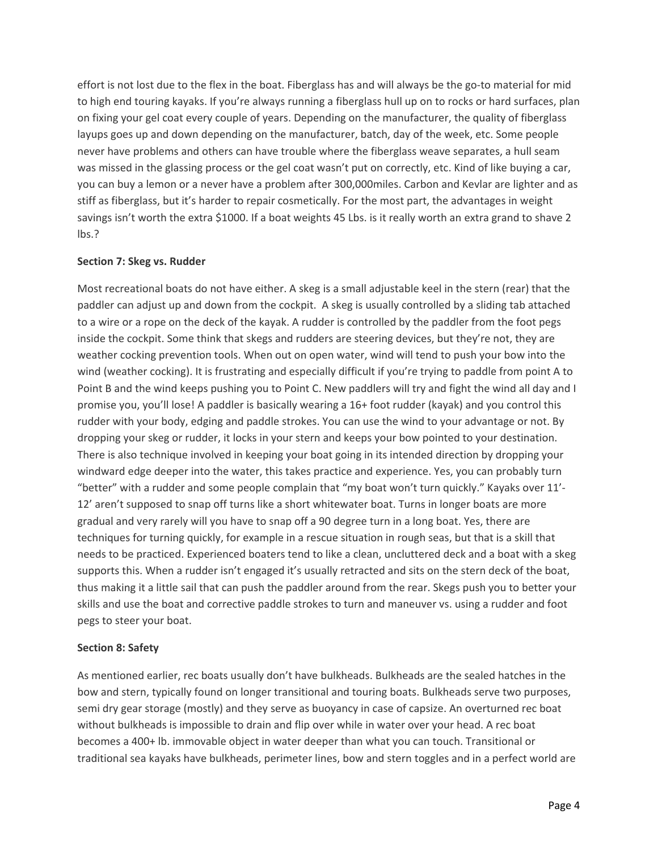effort is not lost due to the flex in the boat. Fiberglass has and will always be the go-to material for mid to high end touring kayaks. If you're always running a fiberglass hull up on to rocks or hard surfaces, plan on fixing your gel coat every couple of years. Depending on the manufacturer, the quality of fiberglass layups goes up and down depending on the manufacturer, batch, day of the week, etc. Some people never have problems and others can have trouble where the fiberglass weave separates, a hull seam was missed in the glassing process or the gel coat wasn't put on correctly, etc. Kind of like buying a car, you can buy a lemon or a never have a problem after 300,000miles. Carbon and Kevlar are lighter and as stiff as fiberglass, but it's harder to repair cosmetically. For the most part, the advantages in weight savings isn't worth the extra \$1000. If a boat weights 45 Lbs. is it really worth an extra grand to shave 2 lbs.?

# **Section 7: Skeg vs. Rudder**

Most recreational boats do not have either. A skeg is a small adjustable keel in the stern (rear) that the paddler can adjust up and down from the cockpit. A skeg is usually controlled by a sliding tab attached to a wire or a rope on the deck of the kayak. A rudder is controlled by the paddler from the foot pegs inside the cockpit. Some think that skegs and rudders are steering devices, but they're not, they are weather cocking prevention tools. When out on open water, wind will tend to push your bow into the wind (weather cocking). It is frustrating and especially difficult if you're trying to paddle from point A to Point B and the wind keeps pushing you to Point C. New paddlers will try and fight the wind all day and I promise you, you'll lose! A paddler is basically wearing a 16+ foot rudder (kayak) and you control this rudder with your body, edging and paddle strokes. You can use the wind to your advantage or not. By dropping your skeg or rudder, it locks in your stern and keeps your bow pointed to your destination. There is also technique involved in keeping your boat going in its intended direction by dropping your windward edge deeper into the water, this takes practice and experience. Yes, you can probably turn "better" with a rudder and some people complain that "my boat won't turn quickly." Kayaks over 11'‐ 12' aren't supposed to snap off turns like a short whitewater boat. Turns in longer boats are more gradual and very rarely will you have to snap off a 90 degree turn in a long boat. Yes, there are techniques for turning quickly, for example in a rescue situation in rough seas, but that is a skill that needs to be practiced. Experienced boaters tend to like a clean, uncluttered deck and a boat with a skeg supports this. When a rudder isn't engaged it's usually retracted and sits on the stern deck of the boat, thus making it a little sail that can push the paddler around from the rear. Skegs push you to better your skills and use the boat and corrective paddle strokes to turn and maneuver vs. using a rudder and foot pegs to steer your boat.

# **Section 8: Safety**

As mentioned earlier, rec boats usually don't have bulkheads. Bulkheads are the sealed hatches in the bow and stern, typically found on longer transitional and touring boats. Bulkheads serve two purposes, semi dry gear storage (mostly) and they serve as buoyancy in case of capsize. An overturned rec boat without bulkheads is impossible to drain and flip over while in water over your head. A rec boat becomes a 400+ lb. immovable object in water deeper than what you can touch. Transitional or traditional sea kayaks have bulkheads, perimeter lines, bow and stern toggles and in a perfect world are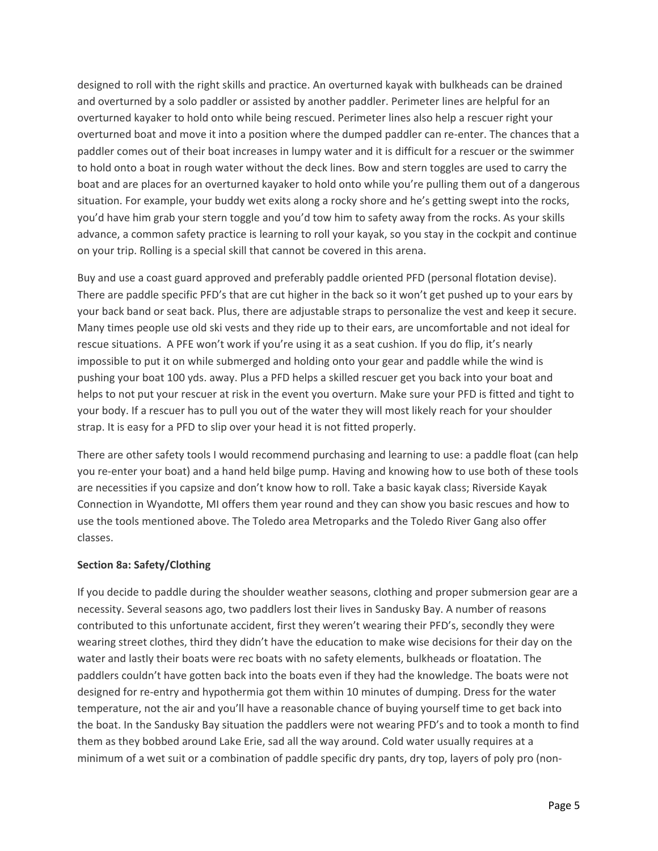designed to roll with the right skills and practice. An overturned kayak with bulkheads can be drained and overturned by a solo paddler or assisted by another paddler. Perimeter lines are helpful for an overturned kayaker to hold onto while being rescued. Perimeter lines also help a rescuer right your overturned boat and move it into a position where the dumped paddler can re‐enter. The chances that a paddler comes out of their boat increases in lumpy water and it is difficult for a rescuer or the swimmer to hold onto a boat in rough water without the deck lines. Bow and stern toggles are used to carry the boat and are places for an overturned kayaker to hold onto while you're pulling them out of a dangerous situation. For example, your buddy wet exits along a rocky shore and he's getting swept into the rocks, you'd have him grab your stern toggle and you'd tow him to safety away from the rocks. As your skills advance, a common safety practice is learning to roll your kayak, so you stay in the cockpit and continue on your trip. Rolling is a special skill that cannot be covered in this arena.

Buy and use a coast guard approved and preferably paddle oriented PFD (personal flotation devise). There are paddle specific PFD's that are cut higher in the back so it won't get pushed up to your ears by your back band or seat back. Plus, there are adjustable straps to personalize the vest and keep it secure. Many times people use old ski vests and they ride up to their ears, are uncomfortable and not ideal for rescue situations. A PFE won't work if you're using it as a seat cushion. If you do flip, it's nearly impossible to put it on while submerged and holding onto your gear and paddle while the wind is pushing your boat 100 yds. away. Plus a PFD helps a skilled rescuer get you back into your boat and helps to not put your rescuer at risk in the event you overturn. Make sure your PFD is fitted and tight to your body. If a rescuer has to pull you out of the water they will most likely reach for your shoulder strap. It is easy for a PFD to slip over your head it is not fitted properly.

There are other safety tools I would recommend purchasing and learning to use: a paddle float (can help you re‐enter your boat) and a hand held bilge pump. Having and knowing how to use both of these tools are necessities if you capsize and don't know how to roll. Take a basic kayak class; Riverside Kayak Connection in Wyandotte, MI offers them year round and they can show you basic rescues and how to use the tools mentioned above. The Toledo area Metroparks and the Toledo River Gang also offer classes.

# **Section 8a: Safety/Clothing**

If you decide to paddle during the shoulder weather seasons, clothing and proper submersion gear are a necessity. Several seasons ago, two paddlers lost their lives in Sandusky Bay. A number of reasons contributed to this unfortunate accident, first they weren't wearing their PFD's, secondly they were wearing street clothes, third they didn't have the education to make wise decisions for their day on the water and lastly their boats were rec boats with no safety elements, bulkheads or floatation. The paddlers couldn't have gotten back into the boats even if they had the knowledge. The boats were not designed for re‐entry and hypothermia got them within 10 minutes of dumping. Dress for the water temperature, not the air and you'll have a reasonable chance of buying yourself time to get back into the boat. In the Sandusky Bay situation the paddlers were not wearing PFD's and to took a month to find them as they bobbed around Lake Erie, sad all the way around. Cold water usually requires at a minimum of a wet suit or a combination of paddle specific dry pants, dry top, layers of poly pro (non‐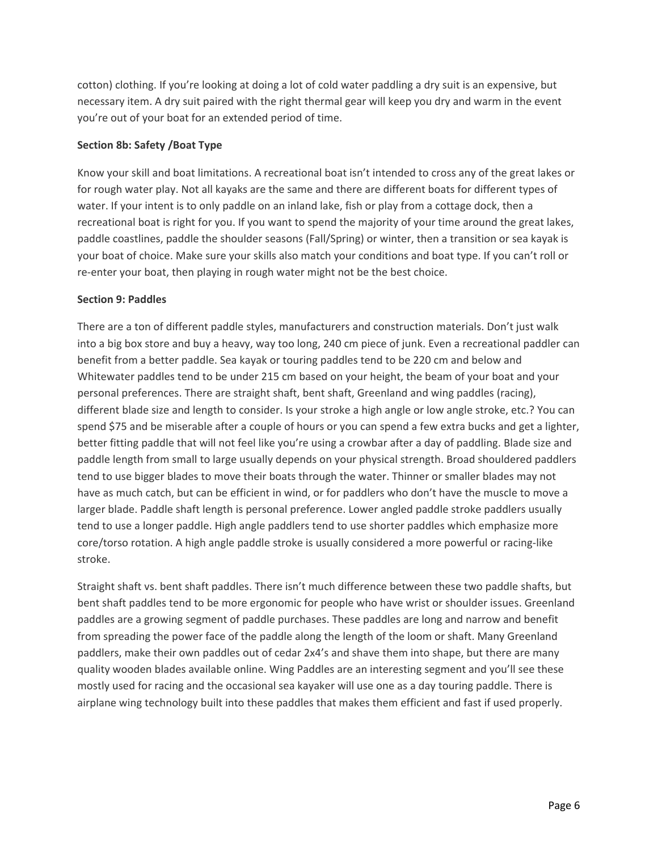cotton) clothing. If you're looking at doing a lot of cold water paddling a dry suit is an expensive, but necessary item. A dry suit paired with the right thermal gear will keep you dry and warm in the event you're out of your boat for an extended period of time.

# **Section 8b: Safety /Boat Type**

Know your skill and boat limitations. A recreational boat isn't intended to cross any of the great lakes or for rough water play. Not all kayaks are the same and there are different boats for different types of water. If your intent is to only paddle on an inland lake, fish or play from a cottage dock, then a recreational boat is right for you. If you want to spend the majority of your time around the great lakes, paddle coastlines, paddle the shoulder seasons (Fall/Spring) or winter, then a transition or sea kayak is your boat of choice. Make sure your skills also match your conditions and boat type. If you can't roll or re-enter your boat, then playing in rough water might not be the best choice.

# **Section 9: Paddles**

There are a ton of different paddle styles, manufacturers and construction materials. Don't just walk into a big box store and buy a heavy, way too long, 240 cm piece of junk. Even a recreational paddler can benefit from a better paddle. Sea kayak or touring paddles tend to be 220 cm and below and Whitewater paddles tend to be under 215 cm based on your height, the beam of your boat and your personal preferences. There are straight shaft, bent shaft, Greenland and wing paddles (racing), different blade size and length to consider. Is your stroke a high angle or low angle stroke, etc.? You can spend \$75 and be miserable after a couple of hours or you can spend a few extra bucks and get a lighter, better fitting paddle that will not feel like you're using a crowbar after a day of paddling. Blade size and paddle length from small to large usually depends on your physical strength. Broad shouldered paddlers tend to use bigger blades to move their boats through the water. Thinner or smaller blades may not have as much catch, but can be efficient in wind, or for paddlers who don't have the muscle to move a larger blade. Paddle shaft length is personal preference. Lower angled paddle stroke paddlers usually tend to use a longer paddle. High angle paddlers tend to use shorter paddles which emphasize more core/torso rotation. A high angle paddle stroke is usually considered a more powerful or racing-like stroke.

Straight shaft vs. bent shaft paddles. There isn't much difference between these two paddle shafts, but bent shaft paddles tend to be more ergonomic for people who have wrist or shoulder issues. Greenland paddles are a growing segment of paddle purchases. These paddles are long and narrow and benefit from spreading the power face of the paddle along the length of the loom or shaft. Many Greenland paddlers, make their own paddles out of cedar 2x4's and shave them into shape, but there are many quality wooden blades available online. Wing Paddles are an interesting segment and you'll see these mostly used for racing and the occasional sea kayaker will use one as a day touring paddle. There is airplane wing technology built into these paddles that makes them efficient and fast if used properly.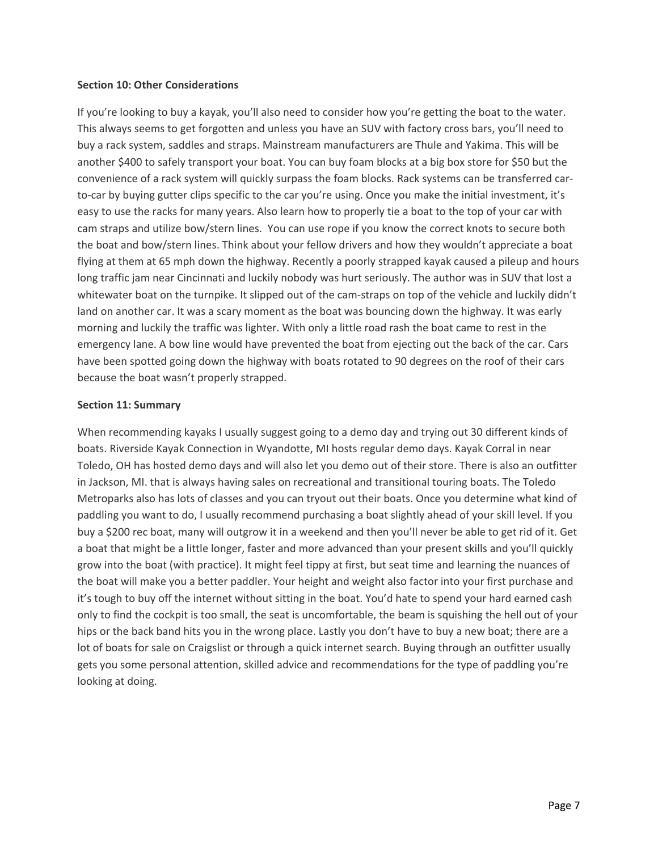#### **Section 10: Other Considerations**

If you're looking to buy a kayak, you'll also need to consider how you're getting the boat to the water. This always seems to get forgotten and unless you have an SUV with factory cross bars, you'll need to buy a rack system, saddles and straps. Mainstream manufacturers are Thule and Yakima. This will be another \$400 to safely transport your boat. You can buy foam blocks at a big box store for \$50 but the convenience of a rack system will quickly surpass the foam blocks. Rack systems can be transferred car‐ to-car by buying gutter clips specific to the car you're using. Once you make the initial investment, it's easy to use the racks for many years. Also learn how to properly tie a boat to the top of your car with cam straps and utilize bow/stern lines. You can use rope if you know the correct knots to secure both the boat and bow/stern lines. Think about your fellow drivers and how they wouldn't appreciate a boat flying at them at 65 mph down the highway. Recently a poorly strapped kayak caused a pileup and hours long traffic jam near Cincinnati and luckily nobody was hurt seriously. The author was in SUV that lost a whitewater boat on the turnpike. It slipped out of the cam-straps on top of the vehicle and luckily didn't land on another car. It was a scary moment as the boat was bouncing down the highway. It was early morning and luckily the traffic was lighter. With only a little road rash the boat came to rest in the emergency lane. A bow line would have prevented the boat from ejecting out the back of the car. Cars have been spotted going down the highway with boats rotated to 90 degrees on the roof of their cars because the boat wasn't properly strapped.

# **Section 11: Summary**

When recommending kayaks I usually suggest going to a demo day and trying out 30 different kinds of boats. Riverside Kayak Connection in Wyandotte, MI hosts regular demo days. Kayak Corral in near Toledo, OH has hosted demo days and will also let you demo out of their store. There is also an outfitter in Jackson, MI. that is always having sales on recreational and transitional touring boats. The Toledo Metroparks also has lots of classes and you can tryout out their boats. Once you determine what kind of paddling you want to do, I usually recommend purchasing a boat slightly ahead of your skill level. If you buy a \$200 rec boat, many will outgrow it in a weekend and then you'll never be able to get rid of it. Get a boat that might be a little longer, faster and more advanced than your present skills and you'll quickly grow into the boat (with practice). It might feel tippy at first, but seat time and learning the nuances of the boat will make you a better paddler. Your height and weight also factor into your first purchase and it's tough to buy off the internet without sitting in the boat. You'd hate to spend your hard earned cash only to find the cockpit is too small, the seat is uncomfortable, the beam is squishing the hell out of your hips or the back band hits you in the wrong place. Lastly you don't have to buy a new boat; there are a lot of boats for sale on Craigslist or through a quick internet search. Buying through an outfitter usually gets you some personal attention, skilled advice and recommendations for the type of paddling you're looking at doing.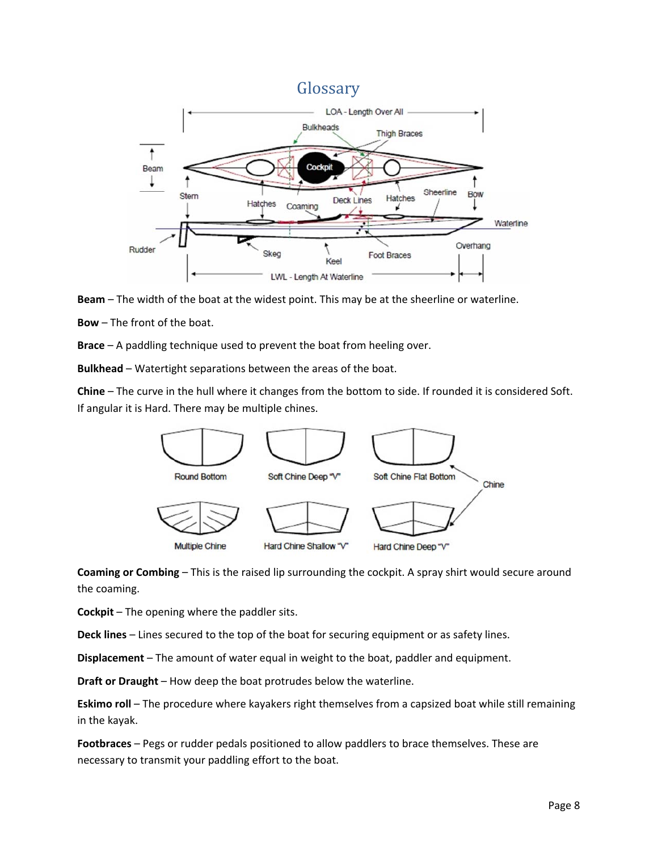



**Bow** – The front of the boat.

**Brace** – A paddling technique used to prevent the boat from heeling over.

**Bulkhead** – Watertight separations between the areas of the boat.

**Chine** – The curve in the hull where it changes from the bottom to side. If rounded it is considered Soft. If angular it is Hard. There may be multiple chines.



**Coaming or Combing** – This is the raised lip surrounding the cockpit. A spray shirt would secure around the coaming.

**Cockpit** – The opening where the paddler sits.

**Deck lines** – Lines secured to the top of the boat for securing equipment or as safety lines.

**Displacement** – The amount of water equal in weight to the boat, paddler and equipment.

**Draft or Draught** – How deep the boat protrudes below the waterline.

**Eskimo roll** – The procedure where kayakers right themselves from a capsized boat while still remaining in the kayak.

**Footbraces** – Pegs or rudder pedals positioned to allow paddlers to brace themselves. These are necessary to transmit your paddling effort to the boat.